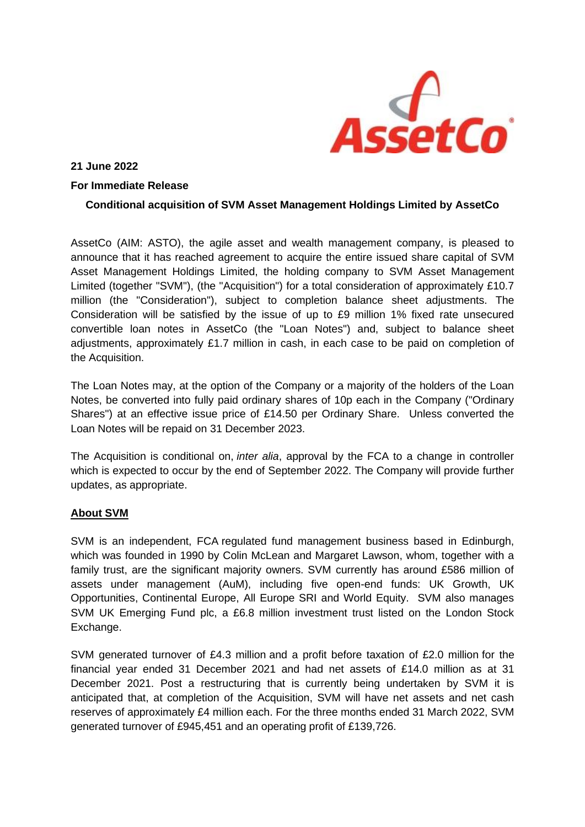

**21 June 2022**

## **For Immediate Release**

## **Conditional acquisition of SVM Asset Management Holdings Limited by AssetCo**

AssetCo (AIM: ASTO), the agile asset and wealth management company, is pleased to announce that it has reached agreement to acquire the entire issued share capital of SVM Asset Management Holdings Limited, the holding company to SVM Asset Management Limited (together "SVM"), (the "Acquisition") for a total consideration of approximately £10.7 million (the "Consideration"), subject to completion balance sheet adjustments. The Consideration will be satisfied by the issue of up to £9 million 1% fixed rate unsecured convertible loan notes in AssetCo (the "Loan Notes") and, subject to balance sheet adjustments, approximately £1.7 million in cash, in each case to be paid on completion of the Acquisition.

The Loan Notes may, at the option of the Company or a majority of the holders of the Loan Notes, be converted into fully paid ordinary shares of 10p each in the Company ("Ordinary Shares") at an effective issue price of £14.50 per Ordinary Share. Unless converted the Loan Notes will be repaid on 31 December 2023.

The Acquisition is conditional on, *inter alia*, approval by the FCA to a change in controller which is expected to occur by the end of September 2022. The Company will provide further updates, as appropriate.

## **About SVM**

SVM is an independent, FCA regulated fund management business based in Edinburgh, which was founded in 1990 by Colin McLean and Margaret Lawson, whom, together with a family trust, are the significant majority owners. SVM currently has around £586 million of assets under management (AuM), including five open-end funds: UK Growth, UK Opportunities, Continental Europe, All Europe SRI and World Equity. SVM also manages SVM UK Emerging Fund plc, a £6.8 million investment trust listed on the London Stock Exchange.

SVM generated turnover of £4.3 million and a profit before taxation of £2.0 million for the financial year ended 31 December 2021 and had net assets of £14.0 million as at 31 December 2021. Post a restructuring that is currently being undertaken by SVM it is anticipated that, at completion of the Acquisition, SVM will have net assets and net cash reserves of approximately £4 million each. For the three months ended 31 March 2022, SVM generated turnover of £945,451 and an operating profit of £139,726.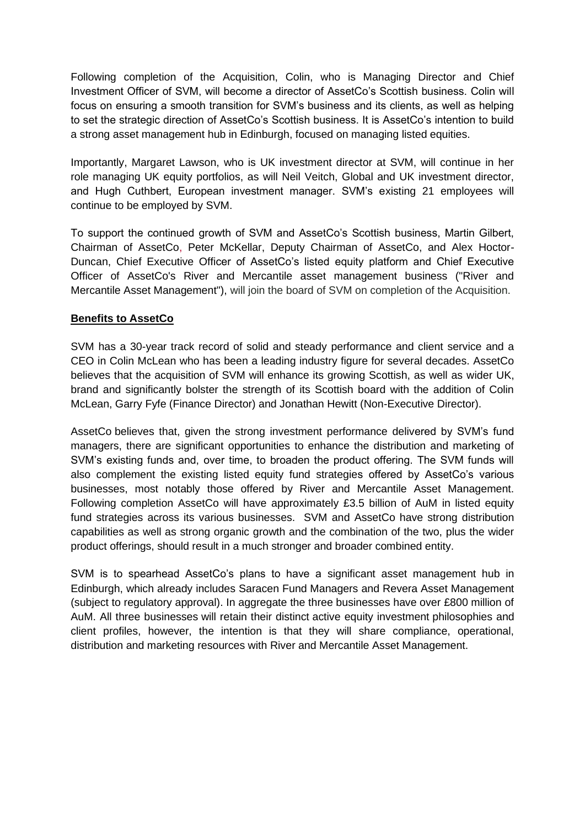Following completion of the Acquisition, Colin, who is Managing Director and Chief Investment Officer of SVM, will become a director of AssetCo's Scottish business. Colin will focus on ensuring a smooth transition for SVM's business and its clients, as well as helping to set the strategic direction of AssetCo's Scottish business. It is AssetCo's intention to build a strong asset management hub in Edinburgh, focused on managing listed equities.

Importantly, Margaret Lawson, who is UK investment director at SVM, will continue in her role managing UK equity portfolios, as will Neil Veitch, Global and UK investment director, and Hugh Cuthbert, European investment manager. SVM's existing 21 employees will continue to be employed by SVM.

To support the continued growth of SVM and AssetCo's Scottish business, Martin Gilbert, Chairman of AssetCo, Peter McKellar, Deputy Chairman of AssetCo, and Alex Hoctor-Duncan, Chief Executive Officer of AssetCo's listed equity platform and Chief Executive Officer of AssetCo's River and Mercantile asset management business ("River and Mercantile Asset Management"), will join the board of SVM on completion of the Acquisition.

# **Benefits to AssetCo**

SVM has a 30-year track record of solid and steady performance and client service and a CEO in Colin McLean who has been a leading industry figure for several decades. AssetCo believes that the acquisition of SVM will enhance its growing Scottish, as well as wider UK, brand and significantly bolster the strength of its Scottish board with the addition of Colin McLean, Garry Fyfe (Finance Director) and Jonathan Hewitt (Non-Executive Director).

AssetCo believes that, given the strong investment performance delivered by SVM's fund managers, there are significant opportunities to enhance the distribution and marketing of SVM's existing funds and, over time, to broaden the product offering. The SVM funds will also complement the existing listed equity fund strategies offered by AssetCo's various businesses, most notably those offered by River and Mercantile Asset Management. Following completion AssetCo will have approximately £3.5 billion of AuM in listed equity fund strategies across its various businesses. SVM and AssetCo have strong distribution capabilities as well as strong organic growth and the combination of the two, plus the wider product offerings, should result in a much stronger and broader combined entity.

SVM is to spearhead AssetCo's plans to have a significant asset management hub in Edinburgh, which already includes Saracen Fund Managers and Revera Asset Management (subject to regulatory approval). In aggregate the three businesses have over £800 million of AuM. All three businesses will retain their distinct active equity investment philosophies and client profiles, however, the intention is that they will share compliance, operational, distribution and marketing resources with River and Mercantile Asset Management.